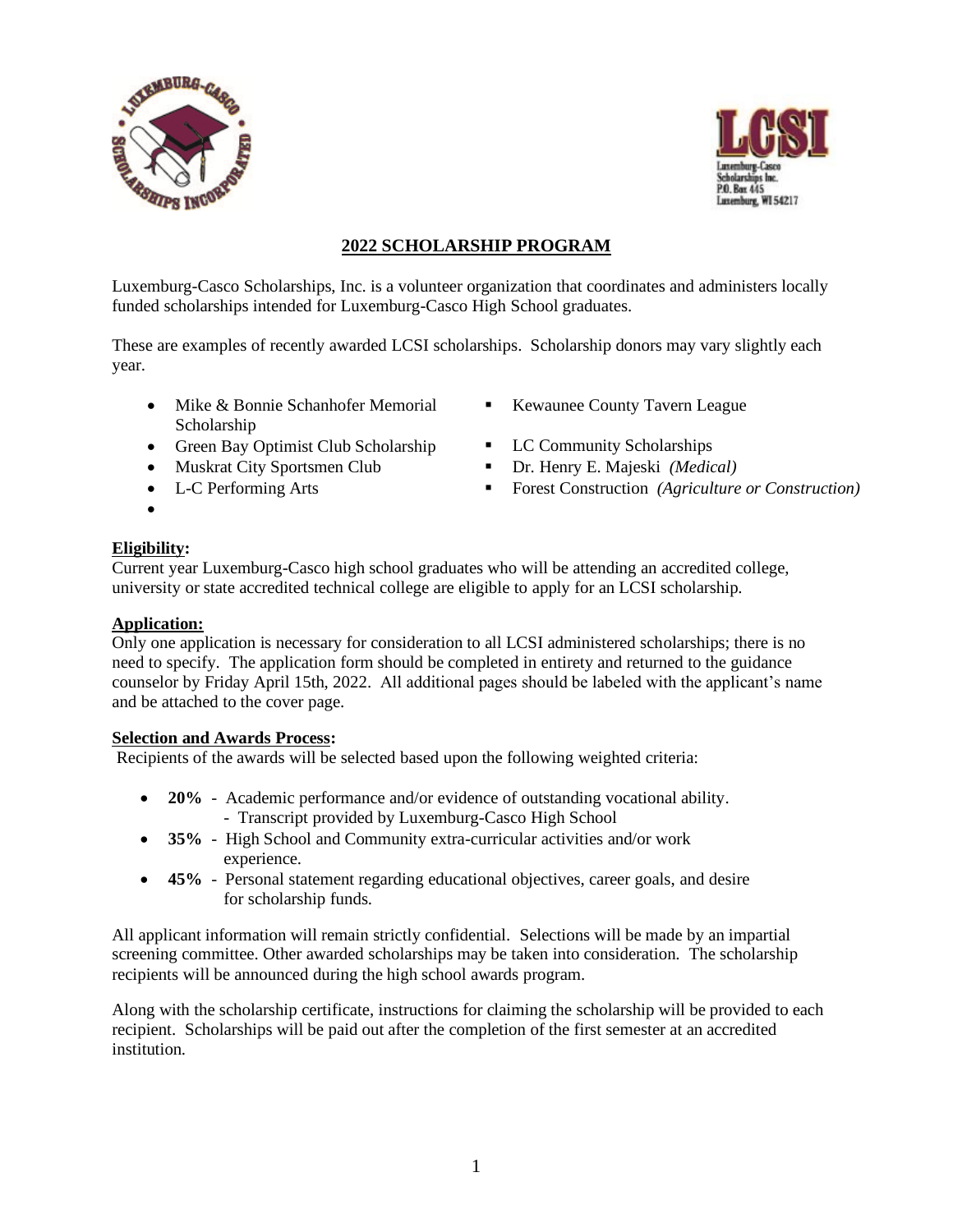



# **2022 SCHOLARSHIP PROGRAM**

Luxemburg-Casco Scholarships, Inc. is a volunteer organization that coordinates and administers locally funded scholarships intended for Luxemburg-Casco High School graduates.

These are examples of recently awarded LCSI scholarships. Scholarship donors may vary slightly each year.

- Mike & Bonnie Schanhofer Memorial Scholarship
- Green Bay Optimist Club Scholarship LC Community Scholarships
- 
- 
- **Kewaunee County Tavern League**
- 
- Muskrat City Sportsmen Club Dr. Henry E. Majeski *(Medical)*
- L-C Performing Arts  **•** Forest Construction *(Agriculture or Construction)*

### **Eligibility:**

•

Current year Luxemburg-Casco high school graduates who will be attending an accredited college, university or state accredited technical college are eligible to apply for an LCSI scholarship.

#### **Application:**

Only one application is necessary for consideration to all LCSI administered scholarships; there is no need to specify. The application form should be completed in entirety and returned to the guidance counselor by Friday April 15th, 2022. All additional pages should be labeled with the applicant's name and be attached to the cover page.

#### **Selection and Awards Process:**

Recipients of the awards will be selected based upon the following weighted criteria:

- **20%** Academic performance and/or evidence of outstanding vocational ability. - Transcript provided by Luxemburg-Casco High School
- **35%** High School and Community extra-curricular activities and/or work experience.
- **45%** Personal statement regarding educational objectives, career goals, and desire for scholarship funds.

All applicant information will remain strictly confidential. Selections will be made by an impartial screening committee. Other awarded scholarships may be taken into consideration. The scholarship recipients will be announced during the high school awards program.

Along with the scholarship certificate, instructions for claiming the scholarship will be provided to each recipient. Scholarships will be paid out after the completion of the first semester at an accredited institution.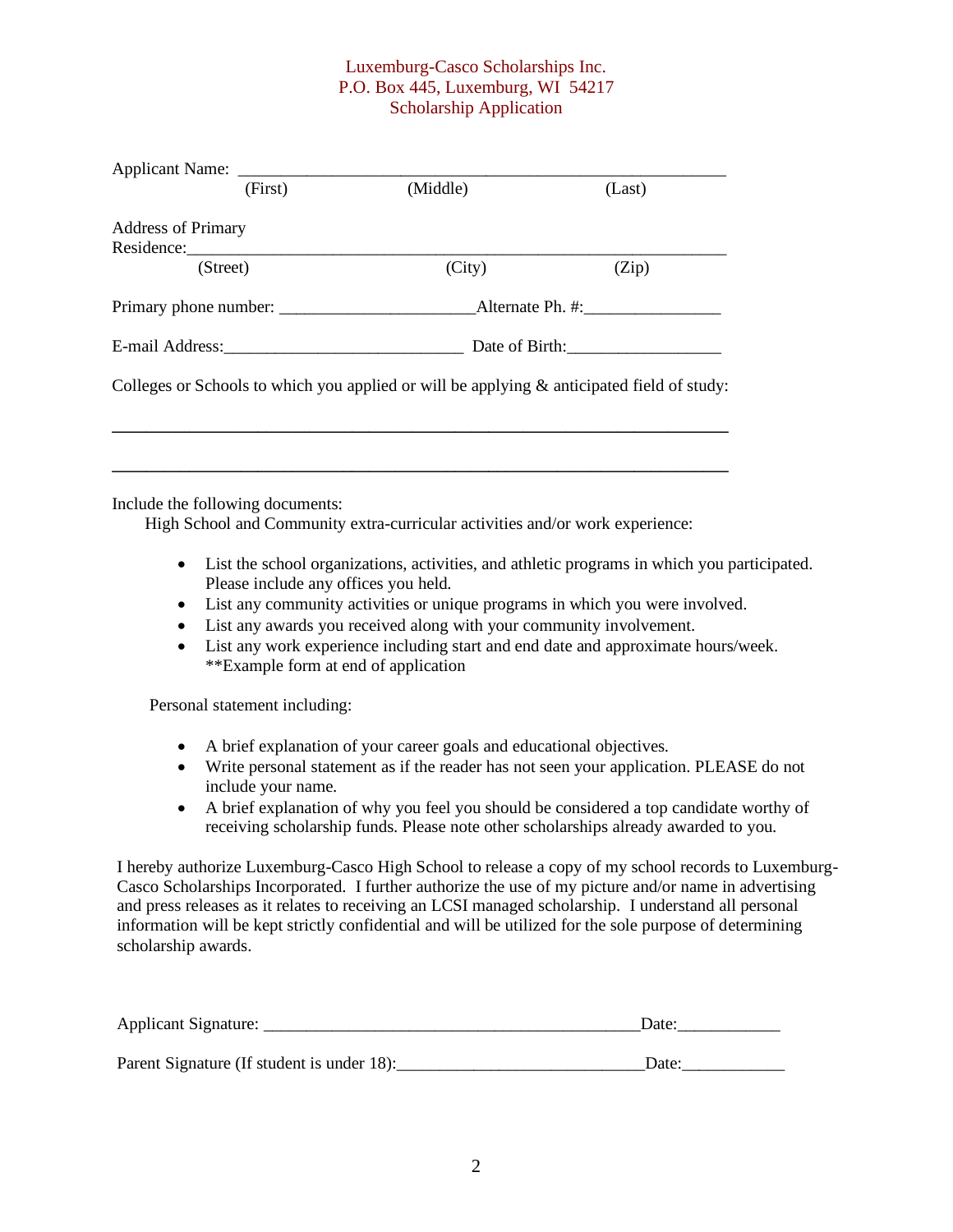### Luxemburg-Casco Scholarships Inc. P.O. Box 445, Luxemburg, WI 54217 Scholarship Application

| Applicant Name: ______                                                                        |                |        |
|-----------------------------------------------------------------------------------------------|----------------|--------|
| (First)                                                                                       | (Middle)       | (Last) |
| <b>Address of Primary</b>                                                                     |                |        |
|                                                                                               |                |        |
| (Street)                                                                                      | (City)         | (Zip)  |
|                                                                                               |                |        |
| E-mail Address: No. 1996. The Manuscript of Address:                                          | Date of Birth: |        |
| Colleges or Schools to which you applied or will be applying $\&$ anticipated field of study: |                |        |
|                                                                                               |                |        |
|                                                                                               |                |        |
| Include the following decumentar                                                              |                |        |

Include the following documents:

High School and Community extra-curricular activities and/or work experience:

- List the school organizations, activities, and athletic programs in which you participated. Please include any offices you held.
- List any community activities or unique programs in which you were involved.
- List any awards you received along with your community involvement.
- List any work experience including start and end date and approximate hours/week. \*\*Example form at end of application

Personal statement including:

- A brief explanation of your career goals and educational objectives.
- Write personal statement as if the reader has not seen your application. PLEASE do not include your name.
- A brief explanation of why you feel you should be considered a top candidate worthy of receiving scholarship funds. Please note other scholarships already awarded to you.

I hereby authorize Luxemburg-Casco High School to release a copy of my school records to Luxemburg-Casco Scholarships Incorporated. I further authorize the use of my picture and/or name in advertising and press releases as it relates to receiving an LCSI managed scholarship. I understand all personal information will be kept strictly confidential and will be utilized for the sole purpose of determining scholarship awards.

| <b>Applicant Signature:</b> |  |
|-----------------------------|--|
|                             |  |

Parent Signature (If student is under 18): Date: